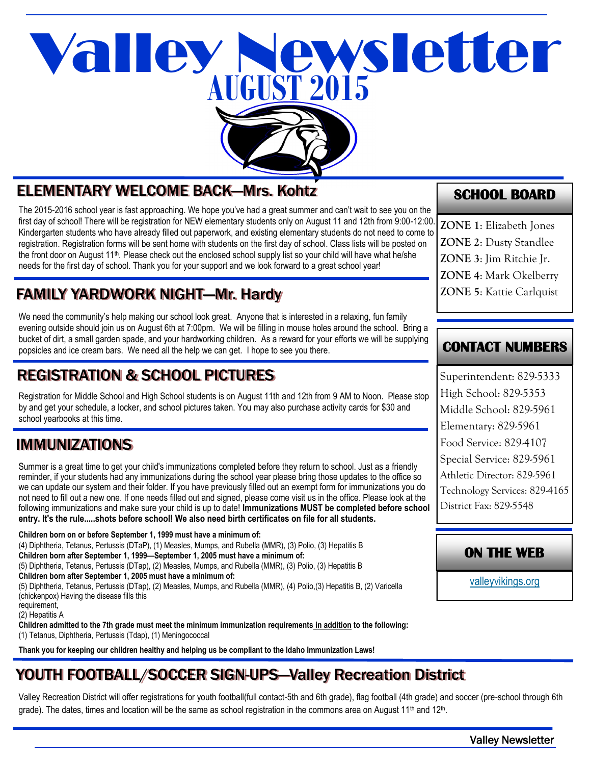# **AUGUST 2015** Valley Newsletter



# ELEMENTARY WELCOME BACK—Mrs. Kohtz

The 2015-2016 school year is fast approaching. We hope you've had a great summer and can't wait to see you on the first day of school! There will be registration for NEW elementary students only on August 11 and 12th from 9:00-12:00. Kindergarten students who have already filled out paperwork, and existing elementary students do not need to come to registration. Registration forms will be sent home with students on the first day of school. Class lists will be posted on the front door on August 11th. Please check out the enclosed school supply list so your child will have what he/she needs for the first day of school. Thank you for your support and we look forward to a great school year!

# FAMILY YARDWORK NIGHT—Mr. Hardy

We need the community's help making our school look great. Anyone that is interested in a relaxing, fun family evening outside should join us on August 6th at 7:00pm. We will be filling in mouse holes around the school. Bring a bucket of dirt, a small garden spade, and your hardworking children. As a reward for your efforts we will be supplying popsicles and ice cream bars. We need all the help we can get. I hope to see you there.

# REGISTRATION & SCHOOL PICTURES

Registration for Middle School and High School students is on August 11th and 12th from 9 AM to Noon. Please stop by and get your schedule, a locker, and school pictures taken. You may also purchase activity cards for \$30 and school yearbooks at this time.

# IMMUNIZATIONS

Summer is a great time to get your child's immunizations completed before they return to school. Just as a friendly reminder, if your students had any immunizations during the school year please bring those updates to the office so we can update our system and their folder. If you have previously filled out an exempt form for immunizations you do not need to fill out a new one. If one needs filled out and signed, please come visit us in the office. Please look at the following immunizations and make sure your child is up to date! **Immunizations MUST be completed before school entry. It's the rule.....shots before school! We also need birth certificates on file for all students.** 

**Children born on or before September 1, 1999 must have a minimum of:** (4) Diphtheria, Tetanus, Pertussis (DTaP), (1) Measles, Mumps, and Rubella (MMR), (3) Polio, (3) Hepatitis B **Children born after September 1, 1999—September 1, 2005 must have a minimum of:** (5) Diphtheria, Tetanus, Pertussis (DTap), (2) Measles, Mumps, and Rubella (MMR), (3) Polio, (3) Hepatitis B **Children born after September 1, 2005 must have a minimum of:** (5) Diphtheria, Tetanus, Pertussis (DTap), (2) Measles, Mumps, and Rubella (MMR), (4) Polio,(3) Hepatitis B, (2) Varicella (chickenpox) Having the disease fills this requirement,

(2) Hepatitis A

**Children admitted to the 7th grade must meet the minimum immunization requirements in addition to the following:** (1) Tetanus, Diphtheria, Pertussis (Tdap), (1) Meningococcal

**Thank you for keeping our children healthy and helping us be compliant to the Idaho Immunization Laws!** 

# YOUTH FOOTBALL/SOCCER SIGN-UPS—Valley Recreation District

Valley Recreation District will offer registrations for youth football(full contact-5th and 6th grade), flag football (4th grade) and soccer (pre-school through 6th grade). The dates, times and location will be the same as school registration in the commons area on August 11<sup>th</sup> and 12<sup>th</sup>.

**SCHOOL BOARD** 

**ZONE 1**: Elizabeth Jones **ZONE 2**: Dusty Standlee **ZONE 3**: Jim Ritchie Jr. **ZONE 4**: Mark Okelberry **ZONE 5**: Kattie Carlquist

#### **CONTACT NUMBERS**

Superintendent: 829-5333 High School: 829-5353 Middle School: 829-5961 Elementary: 829-5961 Food Service: 829-4107 Special Service: 829-5961 Athletic Director: 829-5961 Technology Services: 829-4165 District Fax: 829-5548

#### **ON THE WEB**

[valleyvikings.org](http://www.valleyvikings.org/)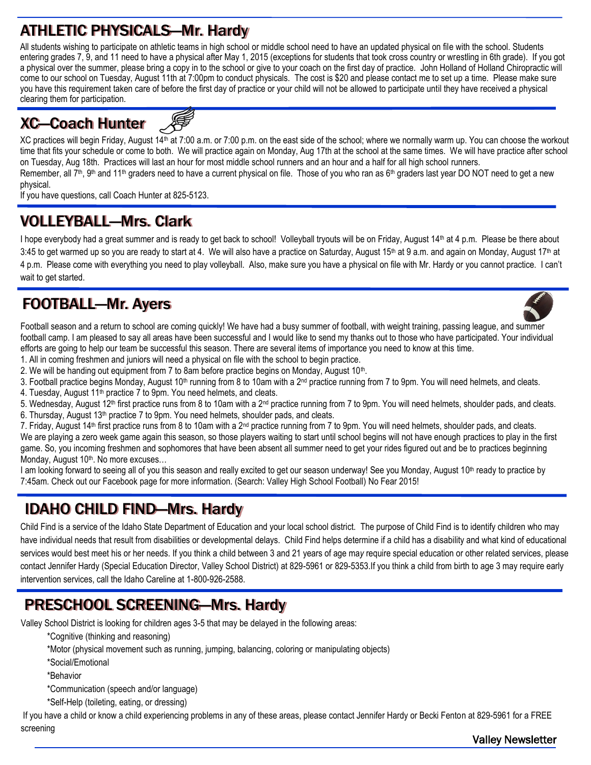# ATHLETIC PHYSICALS—Mr. Hardy

All students wishing to participate on athletic teams in high school or middle school need to have an updated physical on file with the school. Students entering grades 7, 9, and 11 need to have a physical after May 1, 2015 (exceptions for students that took cross country or wrestling in 6th grade). If you got a physical over the summer, please bring a copy in to the school or give to your coach on the first day of practice. John Holland of Holland Chiropractic will come to our school on Tuesday, August 11th at 7:00pm to conduct physicals. The cost is \$20 and please contact me to set up a time. Please make sure you have this requirement taken care of before the first day of practice or your child will not be allowed to participate until they have received a physical clearing them for participation.

# XC—Coach Hunter



XC practices will begin Friday, August 14th at 7:00 a.m. or 7:00 p.m. on the east side of the school; where we normally warm up. You can choose the workout time that fits your schedule or come to both. We will practice again on Monday, Aug 17th at the school at the same times. We will have practice after school on Tuesday, Aug 18th. Practices will last an hour for most middle school runners and an hour and a half for all high school runners. Remember, all  $7<sup>th</sup>$ ,  $9<sup>th</sup>$  and 11<sup>th</sup> graders need to have a current physical on file. Those of you who ran as  $6<sup>th</sup>$  graders last year DO NOT need to get a new

physical.

If you have questions, call Coach Hunter at 825-5123.

# VOLLEYBALL—Mrs. Clark

I hope everybody had a great summer and is ready to get back to school! Volleyball tryouts will be on Friday, August 14th at 4 p.m. Please be there about 3:45 to get warmed up so you are ready to start at 4. We will also have a practice on Saturday, August 15<sup>th</sup> at 9 a.m. and again on Monday, August 17<sup>th</sup> at 4 p.m. Please come with everything you need to play volleyball. Also, make sure you have a physical on file with Mr. Hardy or you cannot practice. I can't wait to get started.

# FOOTBALL—Mr. Ayers



Football season and a return to school are coming quickly! We have had a busy summer of football, with weight training, passing league, and summer football camp. I am pleased to say all areas have been successful and I would like to send my thanks out to those who have participated. Your individual efforts are going to help our team be successful this season. There are several items of importance you need to know at this time.

1. All in coming freshmen and juniors will need a physical on file with the school to begin practice.

2. We will be handing out equipment from 7 to 8am before practice begins on Monday, August 10<sup>th</sup>.

3. Football practice begins Monday, August 10<sup>th</sup> running from 8 to 10am with a 2<sup>nd</sup> practice running from 7 to 9pm. You will need helmets, and cleats.

4. Tuesday, August 11<sup>th</sup> practice 7 to 9pm. You need helmets, and cleats.

5. Wednesday, August 12<sup>th</sup> first practice runs from 8 to 10am with a 2<sup>nd</sup> practice running from 7 to 9pm. You will need helmets, shoulder pads, and cleats. 6. Thursday, August 13<sup>th</sup> practice 7 to 9pm. You need helmets, shoulder pads, and cleats.

7. Friday, August 14th first practice runs from 8 to 10am with a 2nd practice running from 7 to 9pm. You will need helmets, shoulder pads, and cleats. We are playing a zero week game again this season, so those players waiting to start until school begins will not have enough practices to play in the first game. So, you incoming freshmen and sophomores that have been absent all summer need to get your rides figured out and be to practices beginning Monday, August 10<sup>th</sup>. No more excuses...

I am looking forward to seeing all of you this season and really excited to get our season underway! See you Monday, August 10<sup>th</sup> ready to practice by 7:45am. Check out our Facebook page for more information. (Search: Valley High School Football) No Fear 2015!

# IDAHO CHILD FIND—Mrs. Hardy

Child Find is a service of the Idaho State Department of Education and your local school district. The purpose of Child Find is to identify children who may have individual needs that result from disabilities or developmental delays. Child Find helps determine if a child has a disability and what kind of educational services would best meet his or her needs. If you think a child between 3 and 21 years of age ma*y* require special education or other related services, please contact Jennifer Hardy (Special Education Director, Valley School District) at 829-5961 or 829-5353.If you think a child from birth to age 3 may require early intervention services, call the Idaho Careline at 1-800-926-2588.

# PRESCHOOL SCREENING—Mrs. Hardy

Valley School District is looking for children ages 3-5 that may be delayed in the following areas:

- \*Cognitive (thinking and reasoning)
- \*Motor (physical movement such as running, jumping, balancing, coloring or manipulating objects)
- \*Social/Emotional
- \*Behavior
- \*Communication (speech and/or language)
- \*Self-Help (toileting, eating, or dressing)

If you have a child or know a child experiencing problems in any of these areas, please contact Jennifer Hardy or Becki Fenton at 829-5961 for a FREE screening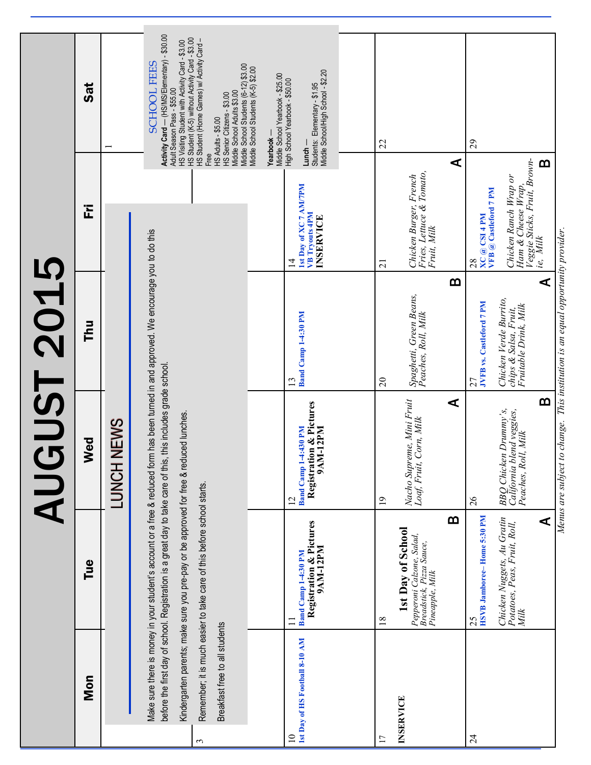|                 |                                |                                                                                                                                                                                                                                                                                                                                                     |                                                                                      | <b>AUGUST 2015</b>                                                              |                                                                                                                                                       |                                                                                                                                                                                                                                            |
|-----------------|--------------------------------|-----------------------------------------------------------------------------------------------------------------------------------------------------------------------------------------------------------------------------------------------------------------------------------------------------------------------------------------------------|--------------------------------------------------------------------------------------|---------------------------------------------------------------------------------|-------------------------------------------------------------------------------------------------------------------------------------------------------|--------------------------------------------------------------------------------------------------------------------------------------------------------------------------------------------------------------------------------------------|
|                 | Mon                            | Tue                                                                                                                                                                                                                                                                                                                                                 | Wed                                                                                  | Thu                                                                             | 준                                                                                                                                                     | Sat                                                                                                                                                                                                                                        |
|                 |                                |                                                                                                                                                                                                                                                                                                                                                     | LUNCH NEWS                                                                           |                                                                                 |                                                                                                                                                       |                                                                                                                                                                                                                                            |
|                 |                                | Make sure there is money in your student's account or a free & reduced form has been turned in and approved. We encourage you to do this<br>before the first day of school. Registration is a great day to take care of this, this includes grade school.<br>Kindergarten parents; make sure you pre-pay or be approved for free & reduced lunches. |                                                                                      |                                                                                 |                                                                                                                                                       | Activity Card - (HS/MS/Elementary) - \$30.00<br>HS Visiting Student with Activity Card - \$3.00<br><b>SCHOOL FEES</b><br>Adult Season Pass - \$55.00                                                                                       |
| $\epsilon$      | Breakfast free to all students | Remember; it is much easier to take care of this before school starts.                                                                                                                                                                                                                                                                              |                                                                                      |                                                                                 |                                                                                                                                                       | HS Student (K-5) without Activity Card - \$3.00<br>HS Student (Horne Garnes) w/ Activity Card –<br>Middle School Students (6-12) \$3.00<br>Middle School Adults \$3.00<br>HS Senior Citizens - \$3.00<br><b>HS Adults - \$5.00</b><br>Free |
|                 |                                |                                                                                                                                                                                                                                                                                                                                                     |                                                                                      |                                                                                 |                                                                                                                                                       | Middle School Students (K-5) \$2.00<br>Middle School Yearbook - \$25.00<br>Yearbook-                                                                                                                                                       |
| $\overline{10}$ | 1st Day of HS Football 8-10 AM | Registration & Pictures<br>9AM-12PM<br>Band Camp 1-4:30 PM<br>$\Box$                                                                                                                                                                                                                                                                                | Registration & Pictures<br>9AM-12PM<br><b>Band Camp 1-4:430 PM</b><br>$\overline{2}$ | <b>Band Camp 1-4:30 PM</b><br>13                                                | 1st Day of XC 7 AM/7PM<br>VB Tryouts 4PM<br>INSERVICE<br>$\overline{4}$                                                                               | Middle School/High School - \$2.20<br>High School Yearbook - \$50.00<br>Students: Elementary - \$1.95<br>$Lunch -$                                                                                                                         |
|                 |                                |                                                                                                                                                                                                                                                                                                                                                     |                                                                                      |                                                                                 |                                                                                                                                                       |                                                                                                                                                                                                                                            |
| $\overline{17}$ |                                | 18                                                                                                                                                                                                                                                                                                                                                  | $\overline{19}$                                                                      | $\overline{c}$                                                                  | $\overline{21}$                                                                                                                                       | 22                                                                                                                                                                                                                                         |
|                 | INSERVICE                      | 1st Day of School<br>Pepperoni Calzone, Salad,<br>Breadstick, Pizza Sauce,<br>Pineapple, Milk                                                                                                                                                                                                                                                       | Nacho Supreme, Mini Fruit<br>Loaf, Fruit, Corn, Milk                                 | Spaghetti, Green Beans,<br>Peaches, Roll, Milk                                  | Fries, Lettuce & Tomato,<br>Fruit, Milk<br>Chicken Burger, French                                                                                     |                                                                                                                                                                                                                                            |
|                 |                                | m                                                                                                                                                                                                                                                                                                                                                   | $\blacktriangleleft$                                                                 | m                                                                               |                                                                                                                                                       | ⋖                                                                                                                                                                                                                                          |
| $\overline{24}$ |                                | HSVB Jamboree-Home 5:30 PM<br>25                                                                                                                                                                                                                                                                                                                    | 26                                                                                   | JVFB vs. Castleford 7 PM<br>27                                                  | $\begin{array}{c}\n 28 \\ \text{XC} \textcircled{a} \text{CSI} + \text{PM} \\ \text{VFB} \textcircled{a} \text{ Casteford} \text{7 PM}\n \end{array}$ | 29                                                                                                                                                                                                                                         |
|                 |                                | Chicken Nuggets, Au Gratin<br>Potatoes, Peas, Fruit, Roll,<br>Milk                                                                                                                                                                                                                                                                                  | BBQ Chicken Drummy's,<br>California blend veggies,<br>Peaches, Roll, Milk            | Chicken Verde Burrito,<br>Fruitable Drink, Milk<br>chips & Salsa, Fruit,        | Veggie Sticks, Fruit, Brown-<br>Chicken Ranch Wrap or<br>Ham & Cheese Wrap,                                                                           |                                                                                                                                                                                                                                            |
|                 |                                | ⋖                                                                                                                                                                                                                                                                                                                                                   | m                                                                                    | ⋖                                                                               | ie, Milk                                                                                                                                              | m                                                                                                                                                                                                                                          |
|                 |                                |                                                                                                                                                                                                                                                                                                                                                     |                                                                                      | Menus are subject to change. This institution is an equal opportunity provider. |                                                                                                                                                       |                                                                                                                                                                                                                                            |